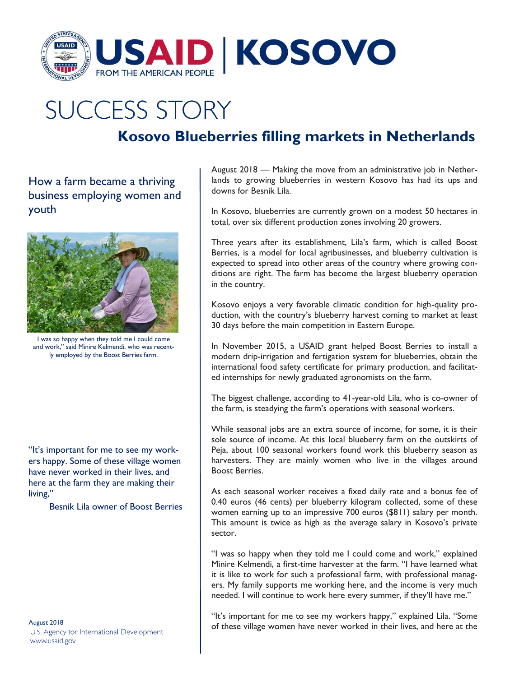

## **SUCCESS STORY**

## **Kosovo Blueberries filling markets in Netherlands**

How a farm became a thriving business employing women and youth



I was so happy when they told me I could come and work," said Minire Kelmendi, who was recently employed by the Boost Berries farm.

"It's important for me to see my workers happy. Some of these village women have never worked in their lives, and here at the farm they are making their living,"

Besnik Lila owner of Boost Berries

August 2018 U.S. Agency tor International Development www.usaid.gov

August 2018 — Making the move from an administrative job in Netherlands to growing blueberries in western Kosovo has had its ups and downs for Besnik Lila.

In Kosovo, blueberries are currently grown on a modest 50 hectares in total, over six different production zones involving 20 growers.

Three years after its establishment, Lila's farm, which is called Boost Berries, is a model for local agribusinesses, and blueberry cultivation is expected to spread into other areas of the country where growing conditions are right. The farm has become the largest blueberry operation in the country.

Kosovo enjoys a very favorable climatic condition for high-quality production, with the country's blueberry harvest coming to market at least 30 days before the main competition in Eastern Europe.

In November 2015, a USAID grant helped Boost Berries to install a modern drip-irrigation and fertigation system for blueberries, obtain the international food safety certificate for primary production, and facilitated internships for newly graduated agronomists on the farm.

The biggest challenge, according to 41-year-old Lila, who is co-owner of the farm, is steadying the farm's operations with seasonal workers.

While seasonal jobs are an extra source of income, for some, it is their sole source of income. At this local blueberry farm on the outskirts of Peja, about 100 seasonal workers found work this blueberry season as harvesters. They are mainly women who live in the villages around Boost Berries.

As each seasonal worker receives a fixed daily rate and a bonus fee of 0.40 euros (46 cents) per blueberry kilogram collected, some of these women earning up to an impressive 700 euros (\$811) salary per month. This amount is twice as high as the average salary in Kosovo's private sector.

"I was so happy when they told me I could come and work," explained Minire Kelmendi, a first-time harvester at the farm. "I have learned what it is like to work for such a professional farm, with professional managers. My family supports me working here, and the income is very much needed. I will continue to work here every summer, if they'll have me."

"It's important for me to see my workers happy," explained Lila. "Some of these village women have never worked in their lives, and here at the